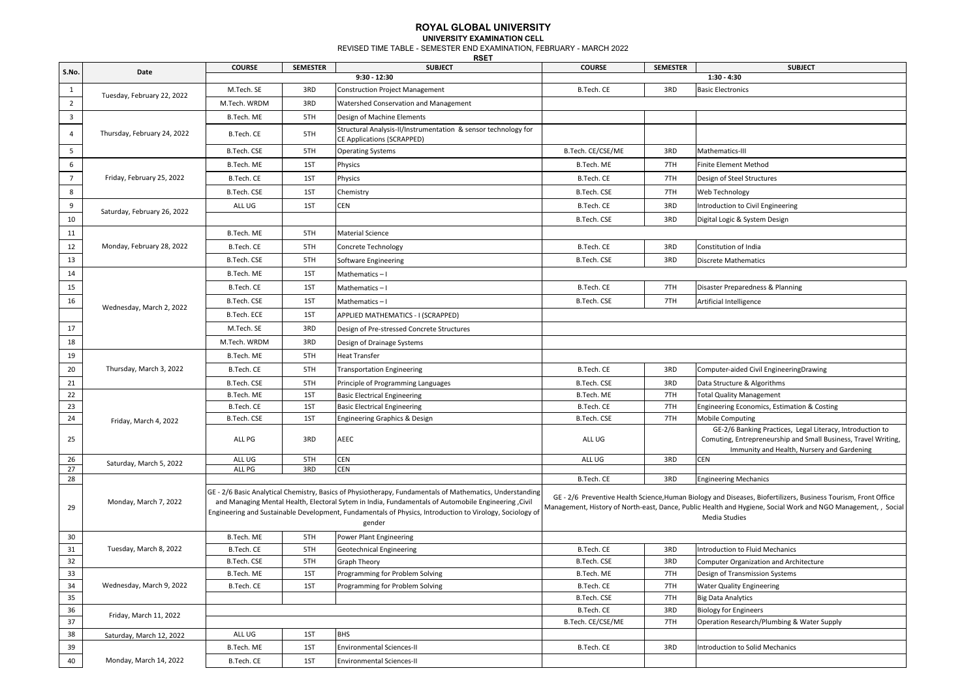## **ROYAL GLOBAL UNIVERSITY UNIVERSITY EXAMINATION CELL**

REVISED TIME TABLE - SEMESTER END EXAMINATION, FEBRUARY - MARCH 2022 **RSET**

**COURSE SEMESTER SUBJECT COURSE SEMESTER SUBJECT** 1 | M.Tech. SE | 3RD Construction Project Management | B.Tech. CE | 3RD Basic Electronics 2 M.Tech. WRDM 3RD Watershed Conservation and Management 3 B.Tech. ME 5TH Design of Machine Elements <sup>4</sup> B.Tech. CE 5TH Structural Analysis-II/Instrumentation & sensor technology for CE Applications (SCRAPPED) 5 B.Tech. CE/CSE/ME 3RD Mathematics-III STH Operating Systems B.Tech. CE/CSE/ME 3RD Mathematics-III 6 B.Tech. ME 1ST Physics B.Tech. ME 7TH Finite Element Method 7 B.Tech. CE 1ST Physics B.Tech. CE 7TH Design of Steel Structures 8 B.Tech. CSE 1ST Chemistry B.Tech. CSE 7TH Web Technology 9 ALL UG 1ST CEN B.Tech. CE 3RD Introduction to Civil Engineering 10 **B.Tech. CSE** 3RD Digital Logic & System Design **CONSECTED ASSAULTS AND Digital Logic & System Design and Digital Logic & System Design** 11 B.Tech. ME 5TH Material Science 12 | Monday, February 28, 2022 | B.Tech. CE | 5TH Concrete Technology B.Tech. CE | 3RD Constitution of India 13 | B.Tech. CSE | 5TH Software Engineering B.Tech. CSE | 3RD Discrete Mathematics 14 **B.Tech. ME 1ST Mathematics – I** 15 B.Tech. CE 1ST Mathematics – I B.Tech. CE 3 B.Tech. CE 7TH Disaster Preparedness & Planning 16 B.Tech. CSE 16 B.Tech. CSE 1ST Mathematics – I B.Tech. CSE 19 B.Tech. CSE 19 TTH Artificial Intelligence B.Tech. ECE 1ST APPLIED MATHEMATICS - I (SCRAPPED) 17 **M.Tech. SE** 3RD Design of Pre-stressed Concrete Structures 18 **M.Tech. WRDM** 3RD Design of Drainage Systems 19 | B.Tech. ME | 5TH | Heat Transfer 20 Thursday, March 3, 2022 | B.Tech. CE | 5TH Transportation Engineering Computer-aided Civil Engineering Drawing 21 B.Tech. CSE STH Principle of Programming Languages B.Tech. CSE 3RD Data Structure & Algorithms 22 B.Tech. ME 1ST Basic Electrical Engineering B.Tech. ME 7TH Total Quality Management 23 B.Tech. CE 1ST Basic Electrical Engineering B.Tech. CE 7TH Engineering Economics, Estimation & Costing B.Tech. CE 24 B.Tech. CSE 1ST Engineering Graphics & Design B.Tech. CSE 7TH Mobile Computing 25 ALL PG 3RD AEEC ALL UG GE-2/6 Banking Practices, Legal Literacy, Introduction to Comuting, Entrepreneurship and Small Business, Travel Writing, Immunity and Health, Nursery and Gardening 26 ALL UG 5TH CEN ALL UG 3RD CEN 27 ALL PG 3RD CEN 28 B.Tech. CE 3RD Engineering Mechanics (28 September 20 September 20 September 20 September 20 September 20 September 20 September 20 September 20 September 20 September 20 September 20 September 20 September 20 September 29 30 B.Tech. ME 5TH Power Plant Engineering 31 B.Tech. CE 5TH Geotechnical Engineering B.Tech. CE 3RD Introduction to Fluid Mechanics 32 B.Tech. CSE STH Graph Theory States and Development of the B.Tech. CSE 3RD Computer Organization and Architecture 33 B.Tech. ME 1ST Programming for Problem Solving Solving B.Tech. ME 7TH Design of Transmission Systems 34 | Wednesday, March 9, 2022 | B.Tech. CE | 1ST |Programming for Problem Solving | B.Tech. CE | 7TH |Water Quality Engineering 35 B.Tech. CSE 7TH Big Data Analytics 36 B.Tech. CE 3RD Biology for Engineers 37 B.Tech. CE/CSE/ME 7TH Operation Research/Plumbing & Water Supply 38 Saturday, March 12, 2022 | ALL UG | 1ST BHS 39 B.Tech. ME 1ST Environmental Sciences-II B.Tech. CE 3RD Introduction to Solid Mechanics 40 Monday, March 14, 2022 B.Tech. CE 1ST Environmental Sciences-II Thursday, February 24, 2022 Saturday, February 26, 2022 GE - 2/6 Basic Analytical Chemistry, Basics of Physiotherapy, Fundamentals of Mathematics, Understanding and Managing Mental Health, Electoral Sytem in India, Fundamentals of Automobile Engineering ,Civil Engineering and Sustainable Development, Fundamentals of Physics, Introduction to Virology, Sociology of gender Friday, March 11, 2022 Friday, February 25, 2022 Wednesday, March 2, 2022 Friday, March 4, 2022 Thursday, March 3, 2022 Saturday, March 5, 2022 Monday, March 7, 2022 Tuesday, March 8, 2022 Wednesday, March 9, 2022 GE - 2/6 Preventive Health Science,Human Biology and Diseases, Biofertilizers, Business Tourism, Front Office Management, History of North-east, Dance, Public Health and Hygiene, Social Work and NGO Management, , Social Media Studies **S.No. Date 9:30 - 12:30 1:30 - 4:30** Tuesday, February 22, 2022